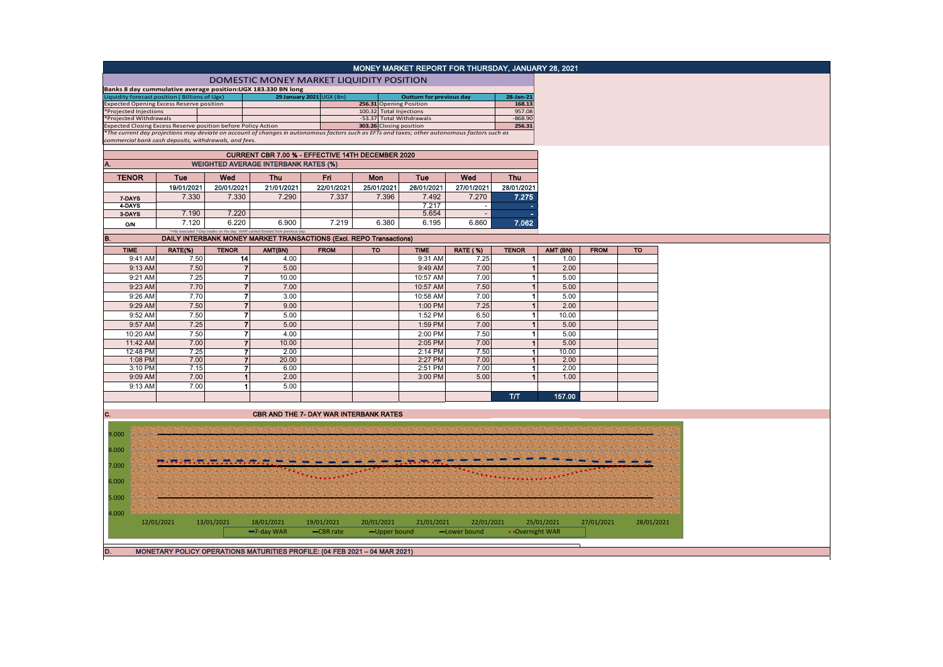|                        |                                                              |              |                                                                                                                                                    |                          | MONEY MARKET REPORT FOR THURSDAY, JANUARY 28, 2021 |                                 |                 |                      |            |             |            |
|------------------------|--------------------------------------------------------------|--------------|----------------------------------------------------------------------------------------------------------------------------------------------------|--------------------------|----------------------------------------------------|---------------------------------|-----------------|----------------------|------------|-------------|------------|
|                        |                                                              |              | DOMESTIC MONEY MARKET LIQUIDITY POSITION                                                                                                           |                          |                                                    |                                 |                 |                      |            |             |            |
|                        |                                                              |              | Banks 8 day cummulative average position: UGX 183.330 BN long                                                                                      |                          |                                                    |                                 |                 |                      |            |             |            |
|                        | Liquidity forecast position (Billions of Ugx)                |              |                                                                                                                                                    | 29 January 2021 UGX (Bn) |                                                    | <b>Outturn for previous day</b> |                 | 28-Jan-21            |            |             |            |
| *Projected Injections  | xpected Opening Excess Reserve position                      |              |                                                                                                                                                    |                          | 256.31 Opening Position<br>100.32 Total Injections |                                 |                 | 168.13<br>957.08     |            |             |            |
| *Projected Withdrawals |                                                              |              |                                                                                                                                                    |                          | -53.37 Total Withdrawals                           |                                 |                 | $-868.90$            |            |             |            |
|                        | xpected Closing Excess Reserve position before Policy Action |              |                                                                                                                                                    |                          | 303.26 Closing position                            |                                 |                 | 256.31               |            |             |            |
|                        |                                                              |              | The current day projections may deviate on account of changes in autonomous factors such as EFTs and taxes; other autonomous factors such as       |                          |                                                    |                                 |                 |                      |            |             |            |
|                        | commercial bank cash deposits, withdrawals, and fees.        |              |                                                                                                                                                    |                          |                                                    |                                 |                 |                      |            |             |            |
|                        |                                                              |              | CURRENT CBR 7.00 % - EFFECTIVE 14TH DECEMBER 2020                                                                                                  |                          |                                                    |                                 |                 |                      |            |             |            |
|                        |                                                              |              | <b>WEIGHTED AVERAGE INTERBANK RATES (%)</b>                                                                                                        |                          |                                                    |                                 |                 |                      |            |             |            |
| <b>TENOR</b>           | Tue                                                          | Wed          | <b>Thu</b>                                                                                                                                         | Fri                      | Mon                                                | Tue                             | Wed             | Thu                  |            |             |            |
|                        | 19/01/2021                                                   | 20/01/2021   | 21/01/2021                                                                                                                                         | 22/01/2021               | 25/01/2021                                         | 26/01/2021                      | 27/01/2021      | 28/01/2021           |            |             |            |
| 7-DAYS                 | 7.330                                                        | 7.330        | 7.290                                                                                                                                              | 7.337                    | 7.396                                              | 7.492                           | 7.270           | 7.275                |            |             |            |
| 4-DAYS                 |                                                              |              |                                                                                                                                                    |                          |                                                    | 7.217                           | $\overline{a}$  | ٠                    |            |             |            |
| 3-DAYS                 | 7.190                                                        | 7.220        |                                                                                                                                                    |                          |                                                    | 5.654                           | $\sim$          | ÷                    |            |             |            |
| <b>O/N</b>             | 7.120                                                        | 6.220        | 6.900                                                                                                                                              | 7.219                    | 6.380                                              | 6.195                           | 6.860           | 7.062                |            |             |            |
| B.                     |                                                              |              | *=No executed 7-Day trades on the day. WAR carried forward from previous da<br>DAILY INTERBANK MONEY MARKET TRANSACTIONS (Excl. REPO Transactions) |                          |                                                    |                                 |                 |                      |            |             |            |
| <b>TIME</b>            | RATE(%)                                                      | <b>TENOR</b> | AMT(BN)                                                                                                                                            | <b>FROM</b>              | <b>TO</b>                                          | <b>TIME</b>                     | <b>RATE (%)</b> | <b>TENOR</b>         | AMT (BN)   | <b>FROM</b> | <b>TO</b>  |
| 9:41 AM                | 7.50                                                         | 14           | 4.00                                                                                                                                               |                          |                                                    | 9:31 AM                         | 7.25            | $\blacktriangleleft$ | 1.00       |             |            |
| 9:13 AM                | 7.50                                                         |              | $\overline{7}$<br>5.00                                                                                                                             |                          |                                                    | 9:49 AM                         | 7.00            | $\mathbf{1}$         | 2.00       |             |            |
| 9:21 AM                | 7.25                                                         |              | $\boldsymbol{7}$<br>10.00                                                                                                                          |                          |                                                    | 10:57 AM                        | 7.00            | 1                    | 5.00       |             |            |
| 9:23 AM                | 7.70                                                         |              | $\overline{7}$<br>7.00                                                                                                                             |                          |                                                    | 10:57 AM                        | 7.50            | $\blacktriangleleft$ | 5.00       |             |            |
| 9:26 AM                | 7.70                                                         |              | $\overline{7}$<br>3.00                                                                                                                             |                          |                                                    | 10:58 AM                        | 7.00            | $\blacktriangleleft$ | 5.00       |             |            |
| 9:29 AM                | 7.50                                                         |              | $\overline{7}$<br>9.00                                                                                                                             |                          |                                                    | 1:00 PM                         | 7.25            | $\mathbf{1}$         | 2.00       |             |            |
| 9:52 AM                | 7.50                                                         |              | 5.00<br>$\mathbf{7}$                                                                                                                               |                          |                                                    | 1:52 PM                         | 6.50            | $\mathbf{1}$         | 10.00      |             |            |
| 9:57 AM                | 7.25                                                         |              | $\overline{7}$<br>5.00                                                                                                                             |                          |                                                    | 1:59 PM                         | 7.00            | $\mathbf{1}$         | 5.00       |             |            |
| 10:20 AM               | 7.50                                                         |              | $\overline{7}$<br>4.00                                                                                                                             |                          |                                                    | 2:00 PM                         | 7.50            | $\mathbf{1}$         | 5.00       |             |            |
| 11:42 AM               | 7.00                                                         |              | $\overline{7}$<br>10.00                                                                                                                            |                          |                                                    | 2:05 PM                         | 7.00            | $\overline{1}$       | 5.00       |             |            |
| 12:48 PM               | 7.25                                                         |              | 2.00<br>7                                                                                                                                          |                          |                                                    | 2:14 PM                         | 7.50            | $\mathbf{1}$         | 10.00      |             |            |
| 1:08 PM                | 7.00                                                         |              | $\overline{7}$<br>20.00                                                                                                                            |                          |                                                    | 2:27 PM                         | 7.00            | $\blacktriangleleft$ | 2.00       |             |            |
| 3:10 PM                | 7.15                                                         |              | 7<br>6.00                                                                                                                                          |                          |                                                    | 2:51 PM                         | 7.00            | $\mathbf{1}$         | 2.00       |             |            |
| 9:09 AM                | 7.00                                                         |              | $\mathbf{1}$<br>2.00                                                                                                                               |                          |                                                    | 3:00 PM                         | 5.00            | $\mathbf{1}$         | 1.00       |             |            |
| 9:13 AM                | 7.00                                                         |              | $\overline{1}$<br>5.00                                                                                                                             |                          |                                                    |                                 |                 |                      |            |             |            |
|                        |                                                              |              |                                                                                                                                                    |                          |                                                    |                                 |                 | тлт                  | 157.00     |             |            |
| C.                     |                                                              |              | CBR AND THE 7- DAY WAR INTERBANK RATES                                                                                                             |                          |                                                    |                                 |                 |                      |            |             |            |
|                        |                                                              |              |                                                                                                                                                    |                          |                                                    |                                 |                 |                      |            |             |            |
| 9.000                  |                                                              |              |                                                                                                                                                    |                          |                                                    |                                 |                 |                      |            |             |            |
|                        |                                                              |              |                                                                                                                                                    |                          |                                                    |                                 |                 |                      |            |             |            |
| 8.000                  |                                                              |              |                                                                                                                                                    |                          |                                                    |                                 |                 |                      |            |             |            |
|                        |                                                              |              |                                                                                                                                                    |                          |                                                    |                                 |                 |                      |            |             |            |
| 7.000                  |                                                              |              |                                                                                                                                                    |                          |                                                    |                                 |                 |                      |            |             |            |
| 6.000                  |                                                              |              |                                                                                                                                                    |                          |                                                    |                                 |                 |                      |            |             |            |
|                        |                                                              |              |                                                                                                                                                    |                          |                                                    |                                 |                 |                      |            |             |            |
| 5.000                  |                                                              |              |                                                                                                                                                    |                          |                                                    |                                 |                 |                      |            |             |            |
|                        |                                                              |              |                                                                                                                                                    |                          |                                                    |                                 |                 |                      |            |             |            |
| 4.000                  |                                                              |              |                                                                                                                                                    |                          |                                                    |                                 |                 |                      |            |             |            |
|                        | 12/01/2021                                                   | 13/01/2021   | 18/01/2021                                                                                                                                         | 19/01/2021               | 20/01/2021                                         | 21/01/2021                      | 22/01/2021      |                      | 25/01/2021 | 27/01/2021  | 28/01/2021 |
|                        |                                                              |              | -7-day WAR                                                                                                                                         | -CBR rate                | -Upper bound                                       |                                 | -Lower bound    | • Overnight WAR      |            |             |            |
|                        |                                                              |              |                                                                                                                                                    |                          |                                                    |                                 |                 |                      |            |             |            |
| D.                     |                                                              |              | MONETARY POLICY OPERATIONS MATURITIES PROFILE: (04 FEB 2021 - 04 MAR 2021)                                                                         |                          |                                                    |                                 |                 |                      |            |             |            |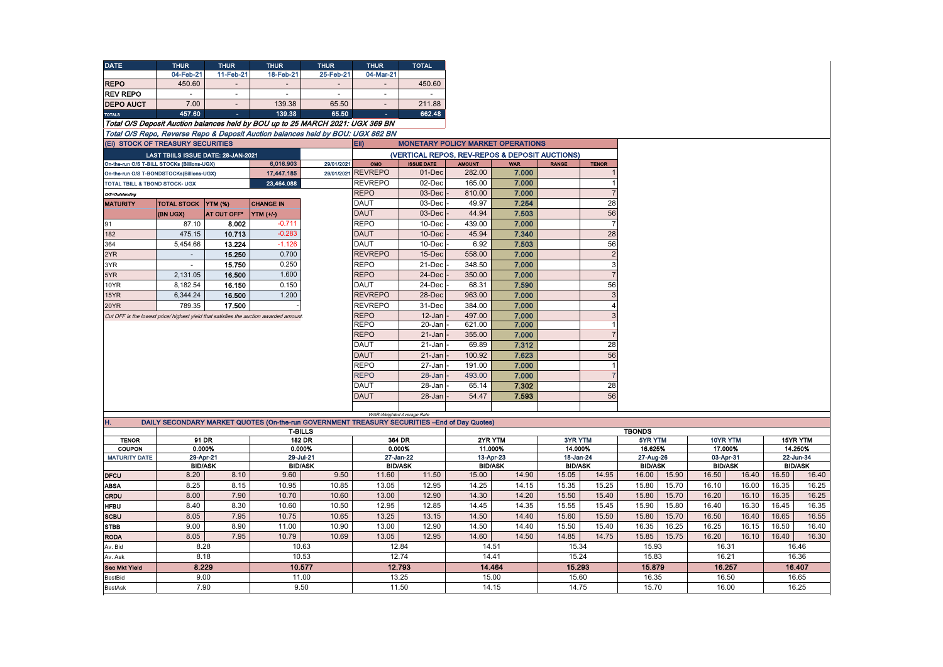| <b>DATE</b>                    | <b>THUR</b>                                                                              | <b>THUR</b>                                | <b>THUR</b>                                                                                  | <b>THUR</b>         | <b>THUR</b>               | <b>TOTAL</b>                                   |                         |                     |              |                                |               |       |  |       |          |          |                |         |                      |  |           |  |           |  |  |  |  |  |  |  |                |  |  |  |                             |                |
|--------------------------------|------------------------------------------------------------------------------------------|--------------------------------------------|----------------------------------------------------------------------------------------------|---------------------|---------------------------|------------------------------------------------|-------------------------|---------------------|--------------|--------------------------------|---------------|-------|--|-------|----------|----------|----------------|---------|----------------------|--|-----------|--|-----------|--|--|--|--|--|--|--|----------------|--|--|--|-----------------------------|----------------|
|                                | 04-Feb-21                                                                                | 11-Feb-21                                  | 18-Feb-21                                                                                    | 25-Feb-21           | 04-Mar-21                 |                                                |                         |                     |              |                                |               |       |  |       |          |          |                |         |                      |  |           |  |           |  |  |  |  |  |  |  |                |  |  |  |                             |                |
| <b>REPO</b>                    | 450.60                                                                                   |                                            |                                                                                              |                     |                           | 450.60                                         |                         |                     |              |                                |               |       |  |       |          |          |                |         |                      |  |           |  |           |  |  |  |  |  |  |  |                |  |  |  |                             |                |
| <b>REV REPO</b>                | $\overline{a}$                                                                           | $\sim$                                     | $\sim$                                                                                       | $\sim$              |                           | $\overline{a}$                                 |                         |                     |              |                                |               |       |  |       |          |          |                |         |                      |  |           |  |           |  |  |  |  |  |  |  |                |  |  |  |                             |                |
| <b>DEPO AUCT</b>               | 7.00                                                                                     | $\overline{a}$                             | 139.38                                                                                       | 65.50               | $\overline{a}$            | 211.88                                         |                         |                     |              |                                |               |       |  |       |          |          |                |         |                      |  |           |  |           |  |  |  |  |  |  |  |                |  |  |  |                             |                |
| <b>TOTALS</b>                  | 457.60                                                                                   | п.                                         | 139.38                                                                                       | 65.50               |                           | 662.48                                         |                         |                     |              |                                |               |       |  |       |          |          |                |         |                      |  |           |  |           |  |  |  |  |  |  |  |                |  |  |  |                             |                |
|                                |                                                                                          |                                            | Total O/S Deposit Auction balances held by BOU up to 25 MARCH 2021: UGX 369 BN               |                     |                           |                                                |                         |                     |              |                                |               |       |  |       |          |          |                |         |                      |  |           |  |           |  |  |  |  |  |  |  |                |  |  |  |                             |                |
|                                |                                                                                          |                                            | Total O/S Repo, Reverse Repo & Deposit Auction balances held by BOU: UGX 862 BN              |                     |                           |                                                |                         |                     |              |                                |               |       |  |       |          |          |                |         |                      |  |           |  |           |  |  |  |  |  |  |  |                |  |  |  |                             |                |
|                                | (Ei) STOCK OF TREASURY SECURITIES                                                        |                                            |                                                                                              |                     |                           | <b>MONETARY POLICY MARKET OPERATIONS</b>       |                         |                     |              |                                |               |       |  |       |          |          |                |         |                      |  |           |  |           |  |  |  |  |  |  |  |                |  |  |  |                             |                |
|                                |                                                                                          |                                            |                                                                                              |                     | EII)                      |                                                |                         |                     |              |                                |               |       |  |       |          |          |                |         |                      |  |           |  |           |  |  |  |  |  |  |  |                |  |  |  |                             |                |
|                                | LAST TBIILS ISSUE DATE: 28-JAN-2021                                                      |                                            | 6,016.903                                                                                    |                     |                           | (VERTICAL REPOS, REV-REPOS & DEPOSIT AUCTIONS) |                         |                     |              |                                |               |       |  |       |          |          |                |         |                      |  |           |  |           |  |  |  |  |  |  |  |                |  |  |  |                             |                |
|                                | On-the-run O/S T-BILL STOCKs (Billions-UGX)<br>On-the-run O/S T-BONDSTOCKs(Billions-UGX) |                                            | 17,447.185                                                                                   | 29/01/2021          | OMO<br>29/01/2021 REVREPO | <b>ISSUE DATE</b><br>01-Dec                    | <b>AMOUNT</b><br>282.00 | <b>WAR</b><br>7.000 | <b>RANGE</b> | <b>TENOR</b><br>$\overline{1}$ |               |       |  |       |          |          |                |         |                      |  |           |  |           |  |  |  |  |  |  |  |                |  |  |  |                             |                |
| TOTAL TBILL & TBOND STOCK- UGX |                                                                                          |                                            | 23.464.088                                                                                   |                     | <b>REVREPO</b>            | 02-Dec                                         | 165.00                  | 7.000               |              | $\overline{1}$                 |               |       |  |       |          |          |                |         |                      |  |           |  |           |  |  |  |  |  |  |  |                |  |  |  |                             |                |
|                                |                                                                                          |                                            |                                                                                              |                     | <b>REPO</b>               | 03-Dec                                         | 810.00                  | 7.000               |              | $\overline{7}$                 |               |       |  |       |          |          |                |         |                      |  |           |  |           |  |  |  |  |  |  |  |                |  |  |  |                             |                |
| O/S=Outstanding                |                                                                                          |                                            |                                                                                              |                     | <b>DAUT</b>               | 03-Dec                                         |                         |                     |              | 28                             |               |       |  |       |          |          |                |         |                      |  |           |  |           |  |  |  |  |  |  |  |                |  |  |  |                             |                |
| <b>MATURITY</b>                | <b>TOTAL STOCK</b>                                                                       | <b>YTM (%)</b>                             | <b>CHANGE IN</b>                                                                             |                     |                           |                                                | 49.97                   | 7.254               |              |                                |               |       |  |       |          |          |                |         |                      |  |           |  |           |  |  |  |  |  |  |  |                |  |  |  |                             |                |
|                                | (BN UGX)                                                                                 | AT CUT OFF*                                | YTM (+/-)                                                                                    |                     | <b>DAUT</b>               | 03-Dec                                         | 44.94                   | 7.503               |              | 56                             |               |       |  |       |          |          |                |         |                      |  |           |  |           |  |  |  |  |  |  |  |                |  |  |  |                             |                |
| 91                             | 87.10                                                                                    | 8.002                                      | $-0.711$                                                                                     |                     | <b>REPO</b>               | 10-Dec                                         | 439.00                  | 7.000               |              | $\overline{7}$                 |               |       |  |       |          |          |                |         |                      |  |           |  |           |  |  |  |  |  |  |  |                |  |  |  |                             |                |
| 182                            | 475.15                                                                                   | 10.713                                     | $-0.283$                                                                                     |                     | <b>DAUT</b>               | 10-Dec                                         | 45.94                   | 7.340               |              | 28                             |               |       |  |       |          |          |                |         |                      |  |           |  |           |  |  |  |  |  |  |  |                |  |  |  |                             |                |
| 364                            | 5,454.66                                                                                 | 13.224                                     | $-1.126$                                                                                     |                     | <b>DAUT</b>               | 10-Dec                                         | 6.92                    | 7.503               |              | 56                             |               |       |  |       |          |          |                |         |                      |  |           |  |           |  |  |  |  |  |  |  |                |  |  |  |                             |                |
| 2YR                            | $\mathcal{L}^{\pm}$                                                                      | 15.250                                     | 0.700                                                                                        |                     | <b>REVREPO</b>            | 15-Dec                                         | 558.00                  | 7.000               |              | $\overline{2}$                 |               |       |  |       |          |          |                |         |                      |  |           |  |           |  |  |  |  |  |  |  |                |  |  |  |                             |                |
| 3YR                            | $\sim$                                                                                   | 15.750                                     | 0.250                                                                                        |                     | <b>REPO</b>               | 21-Dec                                         | 348.50                  | 7.000               |              | 3                              |               |       |  |       |          |          |                |         |                      |  |           |  |           |  |  |  |  |  |  |  |                |  |  |  |                             |                |
| 5YR                            | 2,131.05                                                                                 | 16.500                                     | 1.600                                                                                        |                     | <b>REPO</b>               | 24-Dec                                         | 350.00                  | 7.000               |              |                                |               |       |  |       |          |          |                |         |                      |  |           |  |           |  |  |  |  |  |  |  |                |  |  |  |                             |                |
| 10YR                           | 8,182.54                                                                                 | 16.150                                     | 0.150                                                                                        |                     | DAUT                      | 24-Dec                                         | 68.31                   | 7.590               |              | 56                             |               |       |  |       |          |          |                |         |                      |  |           |  |           |  |  |  |  |  |  |  |                |  |  |  |                             |                |
| 15YR                           | 6.344.24                                                                                 | 16.500                                     | 1.200                                                                                        |                     | <b>REVREPO</b>            | 28-Dec                                         | 963.00                  | 7.000               |              | 3                              |               |       |  |       |          |          |                |         |                      |  |           |  |           |  |  |  |  |  |  |  |                |  |  |  |                             |                |
| 20YR                           | 789.35                                                                                   | 17.500                                     |                                                                                              |                     | <b>REVREPO</b>            | 31-Dec                                         | 384.00                  | 7.000               |              | $\overline{4}$                 |               |       |  |       |          |          |                |         |                      |  |           |  |           |  |  |  |  |  |  |  |                |  |  |  |                             |                |
|                                |                                                                                          |                                            | Cut OFF is the lowest price/ highest yield that satisfies the auction awarded amount.        |                     | <b>REPO</b>               | 12-Jan                                         | 497.00                  | 7.000               |              | $\mathbf{3}$                   |               |       |  |       |          |          |                |         |                      |  |           |  |           |  |  |  |  |  |  |  |                |  |  |  |                             |                |
|                                |                                                                                          |                                            |                                                                                              |                     | <b>REPO</b>               | $20 - Jan$                                     | 621.00                  | 7.000               |              |                                |               |       |  |       |          |          |                |         |                      |  |           |  |           |  |  |  |  |  |  |  |                |  |  |  |                             |                |
|                                |                                                                                          |                                            |                                                                                              |                     | <b>REPO</b>               | 21-Jan                                         | 355.00                  | 7.000               |              | $\overline{7}$                 |               |       |  |       |          |          |                |         |                      |  |           |  |           |  |  |  |  |  |  |  |                |  |  |  |                             |                |
|                                |                                                                                          |                                            |                                                                                              |                     | <b>DAUT</b>               | 21-Jan                                         | 69.89                   | 7.312               |              | 28                             |               |       |  |       |          |          |                |         |                      |  |           |  |           |  |  |  |  |  |  |  |                |  |  |  |                             |                |
|                                |                                                                                          |                                            |                                                                                              |                     | <b>DAUT</b>               | 21-Jan                                         | 100.92                  | 7.623               |              | 56                             |               |       |  |       |          |          |                |         |                      |  |           |  |           |  |  |  |  |  |  |  |                |  |  |  |                             |                |
|                                |                                                                                          |                                            |                                                                                              |                     | <b>REPO</b>               | 27-Jan                                         | 191.00                  | 7.000               |              | $\overline{1}$                 |               |       |  |       |          |          |                |         |                      |  |           |  |           |  |  |  |  |  |  |  |                |  |  |  |                             |                |
|                                |                                                                                          |                                            |                                                                                              |                     | <b>REPO</b>               | 28-Jan                                         | 493.00                  | 7.000               |              |                                |               |       |  |       |          |          |                |         |                      |  |           |  |           |  |  |  |  |  |  |  |                |  |  |  |                             |                |
|                                |                                                                                          |                                            |                                                                                              |                     | <b>DAUT</b>               | 28-Jan                                         | 65.14                   | 7.302               |              | 28                             |               |       |  |       |          |          |                |         |                      |  |           |  |           |  |  |  |  |  |  |  |                |  |  |  |                             |                |
|                                |                                                                                          |                                            |                                                                                              |                     | <b>DAUT</b>               | 28-Jan                                         | 54.47                   | 7.593               |              | 56                             |               |       |  |       |          |          |                |         |                      |  |           |  |           |  |  |  |  |  |  |  |                |  |  |  |                             |                |
|                                |                                                                                          |                                            |                                                                                              |                     |                           | WAR-Weighted Average Rate                      |                         |                     |              |                                |               |       |  |       |          |          |                |         |                      |  |           |  |           |  |  |  |  |  |  |  |                |  |  |  |                             |                |
| Η.                             |                                                                                          |                                            | DAILY SECONDARY MARKET QUOTES (On-the-run GOVERNMENT TREASURY SECURITIES -End of Day Quotes) |                     |                           |                                                |                         |                     |              |                                |               |       |  |       |          |          |                |         |                      |  |           |  |           |  |  |  |  |  |  |  |                |  |  |  |                             |                |
|                                |                                                                                          |                                            |                                                                                              | <b>T-BILLS</b>      |                           |                                                |                         |                     |              |                                | <b>TBONDS</b> |       |  |       |          |          |                |         |                      |  |           |  |           |  |  |  |  |  |  |  |                |  |  |  |                             |                |
| <b>TENOR</b>                   |                                                                                          | 91 DR                                      |                                                                                              | <b>182 DR</b>       |                           | 364 DR                                         | 2YR YTM                 |                     | 3YR YTM      |                                | 5YR YTM       |       |  |       | 10YR YTM | 15YR YTM |                |         |                      |  |           |  |           |  |  |  |  |  |  |  |                |  |  |  |                             |                |
| COUPON                         |                                                                                          | 0.000%<br>0.000%<br>29-Apr-21<br>29-Jul-21 |                                                                                              | 0.000%<br>27-Jan-22 |                           | 11.000%<br>13-Apr-23                           |                         | 14.000%             |              |                                |               |       |  |       |          | 16.625%  |                | 17.000% | 14.250%<br>22-Jun-34 |  |           |  |           |  |  |  |  |  |  |  |                |  |  |  |                             |                |
| <b>MATURITY DATE</b>           |                                                                                          | <b>BID/ASK</b>                             |                                                                                              | <b>BID/ASK</b>      |                           | <b>BID/ASK</b>                                 | <b>BID/ASK</b>          |                     |              |                                |               |       |  |       |          |          | <b>BID/ASK</b> |         |                      |  | 18-Jan-24 |  | 27-Aug-26 |  |  |  |  |  |  |  | <b>BID/ASK</b> |  |  |  | 03-Apr-31<br><b>BID/ASK</b> | <b>BID/ASK</b> |
| <b>DFCU</b>                    | 8.20                                                                                     | 8.10                                       | 9.60                                                                                         | 9.50                | 11.60                     | 11.50                                          | 15.00                   | 14.90               | 15.05        | 14.95                          | 16.00         | 15.90 |  | 16.50 | 16.40    | 16.50    |                |         |                      |  |           |  |           |  |  |  |  |  |  |  |                |  |  |  |                             |                |
| <b>ABSA</b>                    | 8.25                                                                                     | 8.15                                       | 10.95                                                                                        | 10.85               | 13.05                     | 12.95                                          | 14.25                   | 14.15               | 15.35        | 15.25                          | 15.80         | 15.70 |  | 16.10 | 16.00    | 16.35    |                |         |                      |  |           |  |           |  |  |  |  |  |  |  |                |  |  |  |                             |                |
| <b>CRDU</b>                    | 8.00                                                                                     | 7.90                                       | 10.70                                                                                        | 10.60               | 13.00                     | 12.90                                          | 14.30                   | 14.20               | 15.50        | 15.40                          | 15.80         | 15.70 |  | 16.20 | 16.10    | 16.35    |                |         |                      |  |           |  |           |  |  |  |  |  |  |  |                |  |  |  |                             |                |
| <b>HFBU</b>                    | 8.40                                                                                     | 8.30                                       | 10.60                                                                                        | 10.50               | 12.95                     | 12.85                                          | 14.45                   | 14.35               | 15.55        | 15.45                          | 15.90         | 15.80 |  | 16.40 | 16.30    | 16.45    |                |         |                      |  |           |  |           |  |  |  |  |  |  |  |                |  |  |  |                             |                |
|                                |                                                                                          |                                            |                                                                                              |                     |                           |                                                |                         |                     |              |                                | 15.80         | 15.70 |  | 16.50 | 16.40    | 16.65    |                |         |                      |  |           |  |           |  |  |  |  |  |  |  |                |  |  |  |                             |                |
| <b>SCBU</b>                    | 8.05                                                                                     | 7.95                                       | 10.75                                                                                        | 10.65               | 13.25                     | 13.15                                          | 14.50                   | 14.40               | 15.60        | 15.50                          |               |       |  |       |          |          |                |         |                      |  |           |  |           |  |  |  |  |  |  |  |                |  |  |  |                             |                |
| <b>STBB</b>                    | 9.00                                                                                     | 8.90                                       | 11.00<br>10.79                                                                               | 10.90               | 13.00<br>13.05            | 12.90                                          | 14.50<br>14.60          | 14.40               | 15.50        | 15.40                          | 16.35         | 16.25 |  | 16.25 | 16.15    | 16.50    |                |         |                      |  |           |  |           |  |  |  |  |  |  |  |                |  |  |  |                             |                |
| <b>RODA</b>                    | 8.05                                                                                     | 7.95                                       |                                                                                              | 10.69               |                           | 12.95                                          |                         | 14.50               | 14.85        | 14.75                          | 15.85         | 15.75 |  | 16.20 | 16.10    | 16.40    |                |         |                      |  |           |  |           |  |  |  |  |  |  |  |                |  |  |  |                             |                |
| 8.28<br>Av. Bid<br>8.18        |                                                                                          |                                            | 10.63                                                                                        | 12.84<br>12.74      |                           | 14.51                                          |                         | 15.34               |              | 15.93                          |               |       |  | 16.31 | 16.46    |          |                |         |                      |  |           |  |           |  |  |  |  |  |  |  |                |  |  |  |                             |                |
| Av. Ask                        |                                                                                          |                                            |                                                                                              | 10.53               |                           |                                                | 14.41                   |                     | 15.24        |                                | 15.83         |       |  |       | 16.21    | 16.36    |                |         |                      |  |           |  |           |  |  |  |  |  |  |  |                |  |  |  |                             |                |
| <b>Sec Mkt Yield</b>           |                                                                                          | 8.229                                      |                                                                                              | 10.577              |                           | 12.793                                         | 14.464                  |                     | 15.293       |                                | 15.879        |       |  |       | 16.257   | 16.407   |                |         |                      |  |           |  |           |  |  |  |  |  |  |  |                |  |  |  |                             |                |
| BestBid                        |                                                                                          | 9.00                                       |                                                                                              | 11.00               |                           | 13.25                                          | 15.00                   |                     | 15.60        |                                | 16.35         |       |  |       | 16.50    | 16.65    |                |         |                      |  |           |  |           |  |  |  |  |  |  |  |                |  |  |  |                             |                |
| BestAsk                        |                                                                                          | 7.90                                       |                                                                                              | 9.50                |                           | 11.50                                          |                         | 14.15               | 14.75        |                                | 15.70         |       |  |       | 16.00    |          |                |         |                      |  |           |  |           |  |  |  |  |  |  |  |                |  |  |  |                             |                |